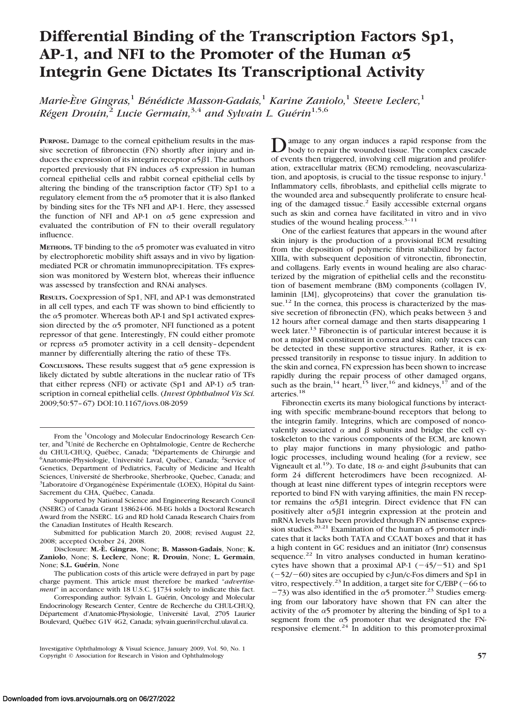# **Differential Binding of the Transcription Factors Sp1,** AP-1, and NFI to the Promoter of the Human  $\alpha$ 5 **Integrin Gene Dictates Its Transcriptional Activity**

*Marie-E`ve Gingras,*<sup>1</sup> *Be´ne´dicte Masson-Gadais,*<sup>1</sup> *Karine Zaniolo,*<sup>1</sup> *Steeve Leclerc,*<sup>1</sup> *Régen Drouin*<sup>2</sup> *Lucie Germain*<sup>3,4</sup> *and Sylvain L. Guérin*<sup>1,5,6</sup>

**PURPOSE.** Damage to the corneal epithelium results in the massive secretion of fibronectin (FN) shortly after injury and induces the expression of its integrin receptor  $\alpha$ 5 $\beta$ 1. The authors reported previously that FN induces  $\alpha$ 5 expression in human corneal epithelial cells and rabbit corneal epithelial cells by altering the binding of the transcription factor (TF) Sp1 to a regulatory element from the  $\alpha$ 5 promoter that it is also flanked by binding sites for the TFs NFI and AP-1. Here, they assessed the function of NFI and AP-1 on  $\alpha$ 5 gene expression and evaluated the contribution of FN to their overall regulatory influence.

**METHODS.** TF binding to the  $\alpha$ 5 promoter was evaluated in vitro by electrophoretic mobility shift assays and in vivo by ligationmediated PCR or chromatin immunoprecipitation. TFs expression was monitored by Western blot, whereas their influence was assessed by transfection and RNAi analyses.

**RESULTS.** Coexpression of Sp1, NFI, and AP-1 was demonstrated in all cell types, and each TF was shown to bind efficiently to the  $\alpha$ 5 promoter. Whereas both AP-1 and Sp1 activated expression directed by the  $\alpha$ 5 promoter, NFI functioned as a potent repressor of that gene. Interestingly, FN could either promote or repress  $\alpha$ 5 promoter activity in a cell density-dependent manner by differentially altering the ratio of these TFs.

**CONCLUSIONS.** These results suggest that  $\alpha$ <sup>5</sup> gene expression is likely dictated by subtle alterations in the nuclear ratio of TFs that either repress (NFI) or activate (Sp1 and AP-1)  $\alpha$ 5 transcription in corneal epithelial cells. (*Invest Ophthalmol Vis Sci.* 2009;50:57– 67) DOI:10.1167/iovs.08-2059

Supported by National Science and Engineering Research Council (NSERC) of Canada Grant 138624-06. M-EG holds a Doctoral Research Award from the NSERC. LG and RD hold Canada Research Chairs from the Canadian Institutes of Health Research.

Submitted for publication March 20, 2008; revised August 22, 2008; accepted October 24, 2008.

Disclosure: **M.-E`. Gingras**, None; **B. Masson-Gadais**, None; **K. Zaniolo**, None; **S. Leclerc**, None; **R. Drouin**, None; **L. Germain**, None; S.L. Guérin, None

The publication costs of this article were defrayed in part by page charge payment. This article must therefore be marked "*advertisement*" in accordance with 18 U.S.C. §1734 solely to indicate this fact.

Corresponding author: Sylvain L. Guérin, Oncology and Molecular Endocrinology Research Center, Centre de Recherche du CHUL-CHUQ, Département d'Anatomie-Physiologie, Université Laval, 2705 Laurier Boulevard, Québec G1V 4G2, Canada; sylvain.guerin@crchul.ulaval.ca.

Investigative Ophthalmology & Visual Science, January 2009, Vol. 50, No. 1 Copyright © Association for Research in Vision and Ophthalmology **57**

amage to any organ induces a rapid response from the body to repair the wounded tissue. The complex cascade of events then triggered, involving cell migration and proliferation, extracellular matrix (ECM) remodeling, neovascularization, and apoptosis, is crucial to the tissue response to injury.<sup>1</sup> Inflammatory cells, fibroblasts, and epithelial cells migrate to the wounded area and subsequently proliferate to ensure healing of the damaged tissue.<sup>2</sup> Easily accessible external organs such as skin and cornea have facilitated in vitro and in vivo studies of the wound healing process. $3-11$ 

One of the earliest features that appears in the wound after skin injury is the production of a provisional ECM resulting from the deposition of polymeric fibrin stabilized by factor XIIIa, with subsequent deposition of vitronectin, fibronectin, and collagens. Early events in wound healing are also characterized by the migration of epithelial cells and the reconstitution of basement membrane (BM) components (collagen IV, laminin [LM], glycoproteins) that cover the granulation tissue.<sup>12</sup> In the cornea, this process is characterized by the massive secretion of fibronectin (FN), which peaks between 3 and 12 hours after corneal damage and then starts disappearing 1 week later.<sup>13</sup> Fibronectin is of particular interest because it is not a major BM constituent in cornea and skin; only traces can be detected in these supportive structures. Rather, it is expressed transitorily in response to tissue injury. In addition to the skin and cornea, FN expression has been shown to increase rapidly during the repair process of other damaged organs, such as the brain,<sup>14</sup> heart,<sup>15</sup> liver,<sup>16</sup> and kidneys,<sup>17</sup> and of the arteries.<sup>18</sup>

Fibronectin exerts its many biological functions by interacting with specific membrane-bound receptors that belong to the integrin family. Integrins, which are composed of noncovalently associated  $\alpha$  and  $\beta$  subunits and bridge the cell cytoskeleton to the various components of the ECM, are known to play major functions in many physiologic and pathologic processes, including wound healing (for a review, see Vigneault et al.<sup>19</sup>). To date, 18  $\alpha$ - and eight  $\beta$ -subunits that can form 24 different heterodimers have been recognized. Although at least nine different types of integrin receptors were reported to bind FN with varying affinities, the main FN receptor remains the  $\alpha$ 5 $\beta$ 1 integrin. Direct evidence that FN can positively alter  $\alpha$ 5 $\beta$ 1 integrin expression at the protein and mRNA levels have been provided through FN antisense expression studies.<sup>20,21</sup> Examination of the human  $\alpha$ 5 promoter indicates that it lacks both TATA and CCAAT boxes and that it has a high content in GC residues and an initiator (Inr) consensus sequence.<sup>22</sup> In vitro analyses conducted in human keratinocytes have shown that a proximal AP-1  $(-45/-51)$  and Sp1  $(-52/-60)$  sites are occupied by c-Jun/c-Fos dimers and Sp1 in vitro, respectively.<sup>23</sup> In addition, a target site for C/EBP ( $-66$  to  $-73$ ) was also identified in the  $\alpha$ 5 promoter.<sup>23</sup> Studies emerging from our laboratory have shown that FN can alter the activity of the  $\alpha$ 5 promoter by altering the binding of Sp1 to a segment from the  $\alpha$ 5 promoter that we designated the FNresponsive element.24 In addition to this promoter-proximal

From the <sup>1</sup>Oncology and Molecular Endocrinology Research Center, and <sup>5</sup>Unité de Recherche en Ophtalmologie, Centre de Recherche du CHUL-CHUQ, Québec, Canada; <sup>4</sup>Départements de Chirurgie and 64 natomie-Physiologie, Université Laval, Québec, Canada; <sup>2</sup>Service of Anatomie-Physiologie, Université Laval, Québec, Canada; <sup>2</sup>Service of Genetics, Department of Pediatrics, Faculty of Medicine and Health Sciences, Université de Sherbrooke, Sherbrooke, Quebec, Canada; and <sup>3</sup>Laboratoire d'Organogénèse Expérimentale (LOEX), Hôpital du Saint-Sacrement du CHA, Québec, Canada.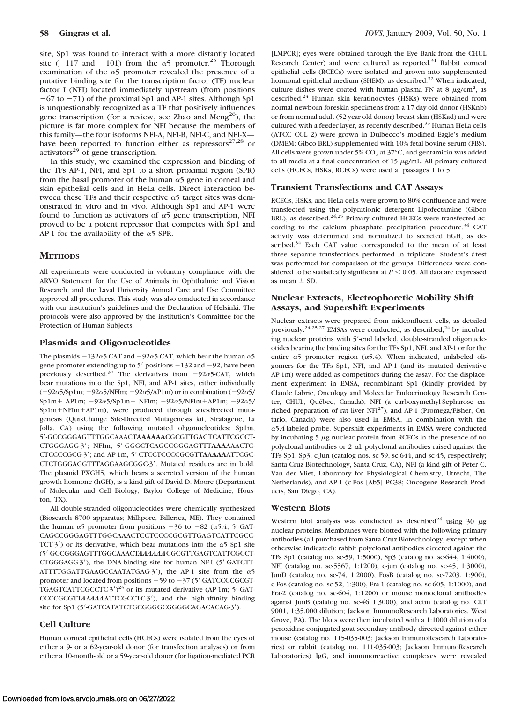site, Sp1 was found to interact with a more distantly located site (-117 and -101) from the  $\alpha$ 5 promoter.<sup>25</sup> Thorough examination of the  $\alpha$ 5 promoter revealed the presence of a putative binding site for the transcription factor (TF) nuclear factor I (NFI) located immediately upstream (from positions  $-67$  to  $-71$ ) of the proximal Sp1 and AP-1 sites. Although Sp1 is unquestionably recognized as a TF that positively influences gene transcription (for a review, see Zhao and Meng<sup>26</sup>), the picture is far more complex for NFI because the members of this family—the four isoforms NFI-A, NFI-B, NFI-C, and NFI-X have been reported to function either as repressors $27,28$  or activators<sup>29</sup> of gene transcription.

In this study, we examined the expression and binding of the TFs AP-1, NFI, and Sp1 to a short proximal region (SPR) from the basal promoter of the human  $\alpha$ 5 gene in corneal and skin epithelial cells and in HeLa cells. Direct interaction between these TFs and their respective  $\alpha$ 5 target sites was demonstrated in vitro and in vivo. Although Sp1 and AP-1 were found to function as activators of  $\alpha$ 5 gene transcription, NFI proved to be a potent repressor that competes with Sp1 and AP-1 for the availability of the  $\alpha$ 5 SPR.

## **METHODS**

All experiments were conducted in voluntary compliance with the ARVO Statement for the Use of Animals in Ophthalmic and Vision Research, and the Laval University Animal Care and Use Committee approved all procedures. This study was also conducted in accordance with our institution's guidelines and the Declaration of Helsinki. The protocols were also approved by the institution's Committee for the Protection of Human Subjects.

#### **Plasmids and Oligonucleotides**

The plasmids  $-132\alpha$ 5-CAT and  $-92\alpha$ 5-CAT, which bear the human  $\alpha$ 5 gene promoter extending up to  $5'$  positions  $-132$  and  $-92$ , have been previously described.<sup>30</sup> The derivatives from  $-92\alpha$ 5-CAT, which bear mutations into the Sp1, NFI, and AP-1 sites, either individually  $(-92\alpha 5/\beta p1m; -92\alpha 5/\text{NF}$ Im;  $-92\alpha 5/\text{AP}1m$ ) or in combination  $(-92\alpha 5/\text{NF}$ Sp1m + AP1m;  $-92\alpha$ 5/Sp1m + NFIm;  $-92\alpha$ 5/NFIm + AP1m;  $-92\alpha$ 5/ Sp1m+NFIm+AP1m), were produced through site-directed mutagenesis (QuikChange Site-Directed Mutagenesis kit, Stratagene, La Jolla, CA) using the following mutated oligonucleotides: Sp1m, 5--GCCGGGAGTTTGGCAAACT**AAAAAA**CGCGTTGAGTCATTCGCCT-CTGGGAGG-3'; NFIm, 5'-GGGCTCAGCCGGGAGTTT**AAA**AAACTC-CTCCCCGCG-3-; and AP-1m, 5--CTCCTCCCCGCGTT**A**A**AAA**ATTCGC-CTCTGGGAGGTTTAGGAAGCGGC-3'. Mutated residues are in bold. The plasmid PXGH5, which bears a secreted version of the human growth hormone (hGH), is a kind gift of David D. Moore (Department of Molecular and Cell Biology, Baylor College of Medicine, Houston, TX).

All double-stranded oligonucleotides were chemically synthesized (Biosearch 8700 apparatus; Millipore, Billerica, ME). They contained the human  $\alpha$ 5 promoter from positions -36 to -82 ( $\alpha$ 5.4, 5'-GAT-CAGCCGGGAGTTTGGCAAACTCCTCCCCGCGTTGAGTCATTCGCC-TCT-3') or its derivative, which bear mutations into the  $\alpha$ 5 Sp1 site (5--GCCGGGAGTTTGGCAAACT*AAAAAA*CGCGTTGAGTCATTCGCCT-CTGGGAGG-3'), the DNA-binding site for human NF-I (5'-GATCTT-ATTTTGGATTGAAGCCAATATGAG-3'), the AP-1 site from the  $\alpha$ 5 promoter and located from positions  $-59$  to  $-37$  (5'-GATCCCCGCGT-TGAGTCATTCGCCTC-3')<sup>23</sup> or its mutated derivative (AP-1m; 5'-GAT-CCCCGCGTTAAAAAATTCGCCTC-3'), and the high-affinity binding site for Sp1 (5'-GATCATATCTGCGGGGGGGGGGAGACACAG-3').

## **Cell Culture**

Human corneal epithelial cells (HCECs) were isolated from the eyes of either a 9- or a 62-year-old donor (for transfection analyses) or from either a 10-month-old or a 59-year-old donor (for ligation-mediated PCR

[LMPCR]; eyes were obtained through the Eye Bank from the CHUL Research Center) and were cultured as reported.<sup>31</sup> Rabbit corneal epithelial cells (RCECs) were isolated and grown into supplemented hormonal epithelial medium (SHEM), as described.<sup>32</sup> When indicated, culture dishes were coated with human plasma FN at 8  $\mu$ g/cm<sup>2</sup>, as described.<sup>24</sup> Human skin keratinocytes (HSKs) were obtained from normal newborn foreskin specimens from a 17-day-old donor (HSKnb) or from normal adult (52-year-old donor) breast skin (HSKad) and were cultured with a feeder layer, as recently described.<sup>33</sup> Human HeLa cells (ATCC CCL 2) were grown in Dulbecco's modified Eagle's medium (DMEM; Gibco BRL) supplemented with 10% fetal bovine serum (FBS). All cells were grown under 5%  $CO<sub>2</sub>$  at 37°C, and gentamicin was added to all media at a final concentration of  $15 \mu g/mL$ . All primary cultured cells (HCECs, HSKs, RCECs) were used at passages 1 to 5.

#### **Transient Transfections and CAT Assays**

RCECs, HSKs, and HeLa cells were grown to 80% confluence and were transfected using the polycationic detergent Lipofectamine (Gibco BRL), as described.<sup>24,25</sup> Primary cultured HCECs were transfected according to the calcium phosphate precipitation procedure.<sup>34</sup> CAT activity was determined and normalized to secreted hGH, as described.<sup>34</sup> Each CAT value corresponded to the mean of at least three separate transfections performed in triplicate. Student's *t*-test was performed for comparison of the groups. Differences were considered to be statistically significant at  $P \leq 0.05$ . All data are expressed as mean  $\pm$  SD.

## **Nuclear Extracts, Electrophoretic Mobility Shift Assays, and Supershift Experiments**

Nuclear extracts were prepared from midconfluent cells, as detailed previously.<sup>24,25,27</sup> EMSAs were conducted, as described,<sup>24</sup> by incubating nuclear proteins with 5'-end labeled, double-stranded oligonucleotides bearing the binding sites for the TFs Sp1, NFI, and AP-1 or for the entire  $\alpha$ 5 promoter region ( $\alpha$ 5.4). When indicated, unlabeled oligomers for the TFs Sp1, NFI, and AP-1 (and its mutated derivative AP-1m) were added as competitors during the assay. For the displacement experiment in EMSA, recombinant Sp1 (kindly provided by Claude Labrie, Oncology and Molecular Endocrinology Research Center, CHUL, Québec, Canada), NFI (a carboxymethyl-Sepharose enriched preparation of rat liver NFI<sup>27</sup>), and AP-1 (Promega/Fisher, Ontario, Canada) were also used in EMSA, in combination with the  $\alpha$ 5.4-labeled probe. Supershift experiments in EMSA were conducted by incubating  $5 \mu$ g nuclear protein from RCECs in the presence of no polyclonal antibodies or  $2 \mu L$  polyclonal antibodies raised against the TFs Sp1, Sp3, c-Jun (catalog nos. sc-59, sc-644, and sc-45, respectively; Santa Cruz Biotechnology, Santa Cruz, CA), NFI (a kind gift of Peter C. Van der Vliet, Laboratory for Physiological Chemistry, Utrecht, The Netherlands), and AP-1 (c-Fos [Ab5] PC38; Oncogene Research Products, San Diego, CA).

#### **Western Blots**

Western blot analysis was conducted as described<sup>24</sup> using 30  $\mu$ g nuclear proteins. Membranes were blotted with the following primary antibodies (all purchased from Santa Cruz Biotechnology, except when otherwise indicated): rabbit polyclonal antibodies directed against the TFs Sp1 (catalog no. sc-59, 1:5000), Sp3 (catalog no. sc-644, 1:4000), NFI (catalog no. sc-5567, 1:1200), c-jun (catalog no. sc-45, 1:3000), JunD (catalog no. sc-74, 1:2000), FosB (catalog no. sc-7203, 1:900), c-Fos (catalog no. sc-52, 1:300), Fra-1 (catalog no. sc-605, 1:1000), and Fra-2 (catalog no. sc-604, 1:1200) or mouse monoclonal antibodies against JunB (catalog no. sc-46 1:3000), and actin (catalog no. CLT 9001, 1:35,000 dilution; Jackson ImmunoResearch Laboratories, West Grove, PA). The blots were then incubated with a 1:1000 dilution of a peroxidase-conjugated goat secondary antibody directed against either mouse (catalog no. 115-035-003; Jackson ImmunoResearch Laboratories) or rabbit (catalog no. 111-035-003; Jackson ImmunoResearch Laboratories) IgG, and immunoreactive complexes were revealed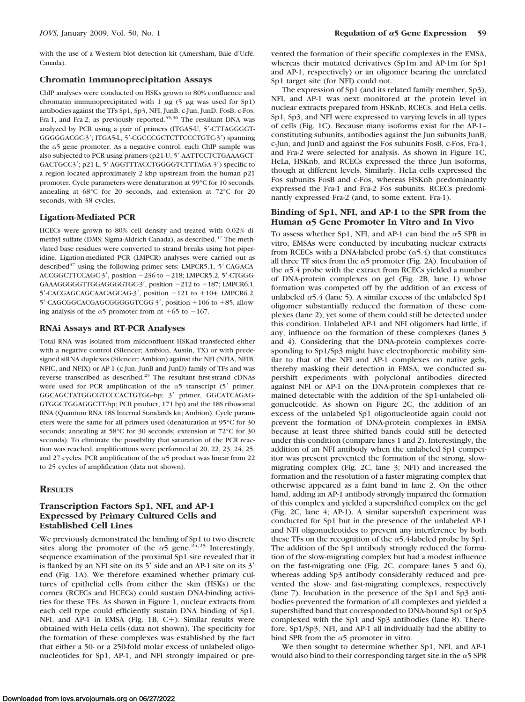with the use of a Western blot detection kit (Amersham, Baie d'Urfé, Canada).

#### **Chromatin Immunoprecipitation Assays**

ChIP analyses were conducted on HSKs grown to 80% confluence and chromatin immunoprecipitated with 1  $\mu$ g (5  $\mu$ g was used for Sp1) antibodies against the TFs Sp1, Sp3, NFI, JunB, c-Jun, JunD, FosB, c-Fos, Fra-1, and Fra-2, as previously reported.35,36 The resultant DNA was analyzed by PCR using a pair of primers (ITGA5-U, 5'-CTTAGGGGT-GGGGGACGC-3'; ITGA5-L, 5'-CGCCCGCTCTTCCCTGTC-3') spanning the  $\alpha$ 5 gene promoter. As a negative control, each ChIP sample was also subjected to PCR using primers (p21-U, 5'-AATTCCTCTGAAAGCT-GACTGCC3'; p21-L, 5'-AGGTTTACCTGGGGTCTTTAGA-3') specific to a region located approximately 2 kbp upstream from the human p21 promoter. Cycle parameters were denaturation at 99°C for 10 seconds, annealing at 68°C for 20 seconds, and extension at 72°C for 20 seconds, with 38 cycles.

## **Ligation-Mediated PCR**

HCECs were grown to 80% cell density and treated with 0.02% dimethyl sulfate (DMS; Sigma-Aldrich Canada), as described.<sup>37</sup> The methylated base residues were converted to strand breaks using hot piperidine. Ligation-mediated PCR (LMPCR) analyses were carried out as described<sup>37</sup> using the following primer sets: LMPCR5.1, 5'-CAGACA-ACCGGCTTCCAGC−3', position −236 to −218; LMPCR5.2, 5'-CTGGG-GAAAGGGGGTTGGAGGGGTGC-3', position -212 to -187; LMPCR6.1, 5'-CACGAGCAGCAACAGCAG-3', position +121 to +104; LMPCR6.2, 5'-CAGCGGCACGAGCGGGGGTCGG-3', position +106 to +85, allowing analysis of the  $\alpha$ 5 promoter from nt +65 to -167.

#### **RNAi Assays and RT-PCR Analyses**

Total RNA was isolated from midconfluent HSKad transfected either with a negative control (Silencer; Ambion, Austin, TX) or with predesigned siRNA duplexes (Silencer; Ambion) against the NFI (NFIA, NFIB, NFIC, and NFIX) or AP-1 (c-Jun, JunB and JunD) family of TFs and was reverse transcribed as described.25 The resultant first-strand cDNAs were used for PCR amplification of the  $\alpha$ 5 transcript (5' primer, GGCAGCTATGGCGTCCCACTGTGG-bp; 3' primer, GGCATCAGAG-GTGGCTGGAGGCTT-bp; PCR product, 171 bp) and the 18S ribosomal RNA (Quantum RNA 18S Internal Standards kit; Ambion). Cycle parameters were the same for all primers used (denaturation at 95°C for 30 seconds; annealing at 58°C for 30 seconds; extension at 72°C for 30 seconds). To eliminate the possibility that saturation of the PCR reaction was reached, amplifications were performed at 20, 22, 23, 24, 25, and 27 cycles. PCR amplification of the  $\alpha$ 5 product was linear from 22 to 25 cycles of amplification (data not shown).

## **RESULTS**

## **Transcription Factors Sp1, NFI, and AP-1 Expressed by Primary Cultured Cells and Established Cell Lines**

We previously demonstrated the binding of Sp1 to two discrete sites along the promoter of the  $\alpha$ 5 gene.<sup>24,25</sup> Interestingly, sequence examination of the proximal Sp1 site revealed that it is flanked by an NFI site on its 5' side and an AP-1 site on its 3' end (Fig. 1A). We therefore examined whether primary cultures of epithelial cells from either the skin (HSKs) or the cornea (RCECs and HCECs) could sustain DNA-binding activities for these TFs. As shown in Figure 1, nuclear extracts from each cell type could efficiently sustain DNA binding of Sp1, NFI, and AP-1 in EMSA (Fig. 1B,  $C+$ ). Similar results were obtained with HeLa cells (data not shown). The specificity for the formation of these complexes was established by the fact that either a 50- or a 250-fold molar excess of unlabeled oligonucleotides for Sp1, AP-1, and NFI strongly impaired or prevented the formation of their specific complexes in the EMSA, whereas their mutated derivatives (Sp1m and AP-1m for Sp1 and AP-1, respectively) or an oligomer bearing the unrelated Sp1 target site (for NFI) could not.

The expression of Sp1 (and its related family member, Sp3), NFI, and AP-1 was next monitored at the protein level in nuclear extracts prepared from HSKnb, RCECs, and HeLa cells. Sp1, Sp3, and NFI were expressed to varying levels in all types of cells (Fig. 1C). Because many isoforms exist for the AP-1– constituting subunits, antibodies against the Jun subunits JunB, c-Jun, and JunD and against the Fos subunits FosB, c-Fos, Fra-1, and Fra-2 were selected for analysis. As shown in Figure 1C, HeLa, HSKnb, and RCECs expressed the three Jun isoforms, though at different levels. Similarly, HeLa cells expressed the Fos subunits FosB and c-Fos, whereas HSKnb predominantly expressed the Fra-1 and Fra-2 Fos subunits. RCECs predominantly expressed Fra-2 (and, to some extent, Fra-1).

#### **Binding of Sp1, NFI, and AP-1 to the SPR from the Human 5 Gene Promoter In Vitro and In Vivo**

To assess whether Sp1, NFI, and AP-1 can bind the  $\alpha$ 5 SPR in vitro, EMSAs were conducted by incubating nuclear extracts from RCECs with a DNA-labeled probe  $(\alpha$ 5.4) that constitutes all three TF sites from the  $\alpha$ 5 promoter (Fig. 2A). Incubation of the  $\alpha$ 5.4 probe with the extract from RCECs yielded a number of DNA-protein complexes on gel (Fig. 2B, lane 1) whose formation was competed off by the addition of an excess of unlabeled  $\alpha$ 5.4 (lane 5). A similar excess of the unlabeled Sp1 oligomer substantially reduced the formation of these complexes (lane 2), yet some of them could still be detected under this condition. Unlabeled AP-1 and NFI oligomers had little, if any, influence on the formation of these complexes (lanes 3 and 4). Considering that the DNA-protein complexes corresponding to Sp1/Sp3 might have electrophoretic mobility similar to that of the NFI and AP-1 complexes on native gels, thereby masking their detection in EMSA, we conducted supershift experiments with polyclonal antibodies directed against NFI or AP-1 on the DNA-protein complexes that remained detectable with the addition of the Sp1-unlabeled oligonucleotide. As shown on Figure 2C, the addition of an excess of the unlabeled Sp1 oligonucleotide again could not prevent the formation of DNA-protein complexes in EMSA because at least three shifted bands could still be detected under this condition (compare lanes 1 and 2). Interestingly, the addition of an NFI antibody when the unlabeled Sp1 competitor was present prevented the formation of the strong, slowmigrating complex (Fig. 2C, lane 3; NFI) and increased the formation and the resolution of a faster migrating complex that otherwise appeared as a faint band in lane 2. On the other hand, adding an AP-1 antibody strongly impaired the formation of this complex and yielded a supershifted complex on the gel (Fig. 2C, lane 4; AP-1). A similar supershift experiment was conducted for Sp1 but in the presence of the unlabeled AP-1 and NFI oligonucleotides to prevent any interference by both these TFs on the recognition of the  $\alpha$ 5.4-labeled probe by Sp1. The addition of the Sp1 antibody strongly reduced the formation of the slow-migrating complex but had a modest influence on the fast-migrating one (Fig. 2C, compare lanes 5 and 6), whereas adding Sp3 antibody considerably reduced and prevented the slow- and fast-migrating complexes, respectively (lane 7). Incubation in the presence of the Sp1 and Sp3 antibodies prevented the formation of all complexes and yielded a supershifted band that corresponded to DNA-bound Sp1 or Sp3 complexed with the Sp1 and Sp3 antibodies (lane 8). Therefore, Sp1/Sp3, NFI, and AP-1 all individually had the ability to bind SPR from the  $\alpha$ 5 promoter in vitro.

We then sought to determine whether Sp1, NFI, and AP-1 would also bind to their corresponding target site in the  $\alpha$ 5 SPR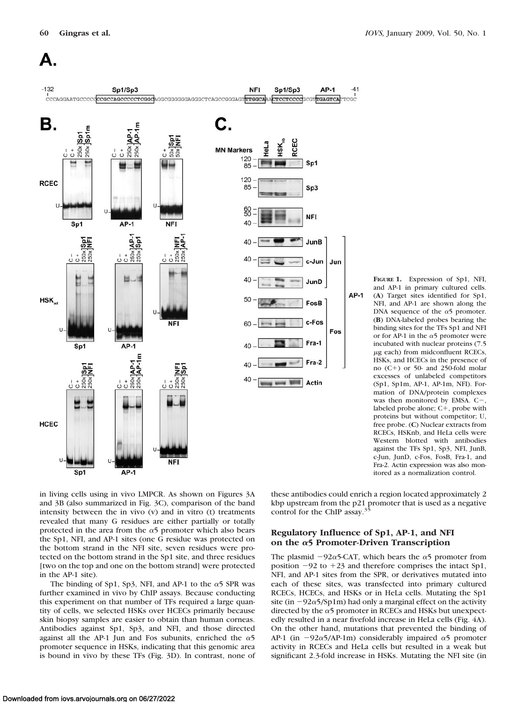# А.



**FIGURE 1.** Expression of Sp1, NFI, and AP-1 in primary cultured cells. (**A**) Target sites identified for Sp1, NFI, and AP-1 are shown along the DNA sequence of the  $\alpha$ 5 promoter. (**B**) DNA-labeled probes bearing the binding sites for the TFs Sp1 and NFI or for AP-1 in the  $\alpha$ 5 promoter were incubated with nuclear proteins (7.5  $\mu$ g each) from midconfluent RCECs, HSKs, and HCECs in the presence of no  $(C+)$  or 50- and 250-fold molar excesses of unlabeled competitors (Sp1, Sp1m, AP-1, AP-1m, NFI). Formation of DNA/protein complexes was then monitored by EMSA.  $C$ -. labeled probe alone;  $C+$ , probe with proteins but without competitor; U, free probe. (**C**) Nuclear extracts from RCECs, HSKnb, and HeLa cells were Western blotted with antibodies against the TFs Sp1, Sp3, NFI, JunB, c-Jun, JunD, c-Fos, FosB, Fra-1, and Fra-2. Actin expression was also monitored as a normalization control.

in living cells using in vivo LMPCR. As shown on Figures 3A and 3B (also summarized in Fig. 3C), comparison of the band intensity between the in vivo (v) and in vitro (t) treatments revealed that many G residues are either partially or totally protected in the area from the  $\alpha$ 5 promoter which also bears the Sp1, NFI, and AP-1 sites (one G residue was protected on the bottom strand in the NFI site, seven residues were protected on the bottom strand in the Sp1 site, and three residues [two on the top and one on the bottom strand] were protected in the AP-1 site).

The binding of Sp1, Sp3, NFI, and AP-1 to the  $\alpha$ 5 SPR was further examined in vivo by ChIP assays. Because conducting this experiment on that number of TFs required a large quantity of cells, we selected HSKs over HCECs primarily because skin biopsy samples are easier to obtain than human corneas. Antibodies against Sp1, Sp3, and NFI, and those directed against all the AP-1 Jun and Fos subunits, enriched the  $\alpha$ 5 promoter sequence in HSKs, indicating that this genomic area is bound in vivo by these TFs (Fig. 3D). In contrast, none of

these antibodies could enrich a region located approximately 2 kbp upstream from the p21 promoter that is used as a negative control for the ChIP assay.<sup>35</sup>

## **Regulatory Influence of Sp1, AP-1, and NFI on the 5 Promoter-Driven Transcription**

The plasmid  $-92\alpha$ 5-CAT, which bears the  $\alpha$ 5 promoter from position  $-92$  to  $+23$  and therefore comprises the intact Sp1, NFI, and AP-1 sites from the SPR, or derivatives mutated into each of these sites, was transfected into primary cultured RCECs, HCECs, and HSKs or in HeLa cells. Mutating the Sp1 site (in  $-92\alpha$ 5/Sp1m) had only a marginal effect on the activity directed by the  $\alpha$ 5 promoter in RCECs and HSKs but unexpectedly resulted in a near fivefold increase in HeLa cells (Fig. 4A). On the other hand, mutations that prevented the binding of AP-1 (in  $-92\alpha$ 5/AP-1m) considerably impaired  $\alpha$ 5 promoter activity in RCECs and HeLa cells but resulted in a weak but significant 2.3-fold increase in HSKs. Mutating the NFI site (in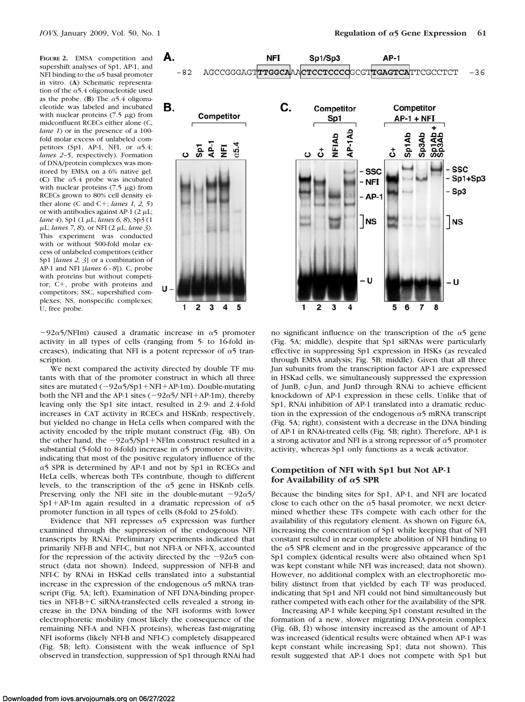**FIGURE 2.** EMSA competition and supershift analyses of Sp1, AP-1, and NFI binding to the  $\alpha$ 5 basal promoter in vitro. (**A**) Schematic representation of the  $\alpha$ 5.4 oligonucleotide used as the probe. (**B**) The  $\alpha$ 5.4 oligonucleotide was labeled and incubated with nuclear proteins  $(7.5 \mu g)$  from midconfluent RCECs either alone (C, *lane 1*) or in the presence of a 100fold molar excess of unlabeled competitors (Sp1, AP-1, NFI, or  $\alpha$ 5.4; *lanes 2–5*, respectively). Formation of DNA/protein complexes was monitored by EMSA on a 6% native gel. (C) The  $\alpha$ 5.4 probe was incubated with nuclear proteins  $(7.5 \mu g)$  from RCECs grown to 80% cell density either alone (C and C+; *lanes 1, 2, 5*) or with antibodies against AP-1 (2  $\mu$ L; *lane 4*), Sp1 (1  $\mu$ L; *lanes 6, 8*), Sp3 (1 μL; *lanes* 7, 8), or NFI (2 μL; *lane* 3). This experiment was conducted with or without 500-fold molar excess of unlabeled competitors (either Sp1 [*lanes 2, 3*] or a combination of AP-1 and NFI [*lanes 6 – 8*]). C, probe with proteins but without competitor;  $C^+$ , probe with proteins and competitors; SSC, supershifted complexes; NS, nonspecific complexes; U, free probe.





 $-92\alpha$ 5/NFIm) caused a dramatic increase in  $\alpha$ 5 promoter activity in all types of cells (ranging from 5- to 16-fold increases), indicating that NFI is a potent repressor of  $\alpha$ 5 transcription.

We next compared the activity directed by double TF mutants with that of the promoter construct in which all three sites are mutated  $(-92\alpha 5/Sp1+NFI+AP-1m)$ . Double-mutating both the NFI and the AP-1 sites ( $-92\alpha$ 5/ NFI+AP-1m), thereby leaving only the Sp1 site intact, resulted in 2.9- and 2.4-fold increases in CAT activity in RCECs and HSKnb, respectively, but yielded no change in HeLa cells when compared with the activity encoded by the triple mutant construct (Fig. 4B). On the other hand, the  $-92\alpha 5/Sp1+NFIm$  construct resulted in a substantial (5-fold to 8-fold) increase in  $\alpha$ 5 promoter activity, indicating that most of the positive regulatory influence of the  $\alpha$ 5 SPR is determined by AP-1 and not by Sp1 in RCECs and HeLa cells, whereas both TFs contribute, though to different levels, to the transcription of the  $\alpha$ 5 gene in HSKnb cells. Preserving only the NFI site in the double-mutant  $-92\alpha$ 5/ Sp1+AP-1m again resulted in a dramatic repression of  $\alpha$ 5 promoter function in all types of cells (8-fold to 25-fold).

Evidence that NFI represses  $\alpha$ 5 expression was further examined through the suppression of the endogenous NFI transcripts by RNAi. Preliminary experiments indicated that primarily NFI-B and NFI-C, but not NFI-A or NFI-X, accounted for the repression of the activity directed by the  $-92\alpha$ 5 construct (data not shown). Indeed, suppression of NFI-B and NFI-C by RNAi in HSKad cells translated into a substantial increase in the expression of the endogenous  $\alpha$ 5 mRNA transcript (Fig. 5A; left). Examination of NFI DNA-binding properties in NFI-B+C siRNA-transfected cells revealed a strong increase in the DNA binding of the NFI isoforms with lower electrophoretic mobility (most likely the consequence of the remaining NFI-A and NFI-X proteins), whereas fast-migrating NFI isoforms (likely NFI-B and NFI-C) completely disappeared (Fig. 5B; left). Consistent with the weak influence of Sp1 observed in transfection, suppression of Sp1 through RNAi had

no significant influence on the transcription of the  $\alpha$ 5 gene (Fig. 5A; middle), despite that Sp1 siRNAs were particularly effective in suppressing Sp1 expression in HSKs (as revealed through EMSA analysis; Fig. 5B; middle). Given that all three Jun subunits from the transcription factor AP-1 are expressed in HSKad cells, we simultaneously suppressed the expression of JunB, c-Jun, and JunD through RNAi to achieve efficient knockdown of AP-1 expression in these cells. Unlike that of Sp1, RNAi inhibition of AP-1 translated into a dramatic reduction in the expression of the endogenous  $\alpha$ 5 mRNA transcript (Fig. 5A; right), consistent with a decrease in the DNA binding of AP-1 in RNAi-treated cells (Fig. 5B; right). Therefore, AP-1 is a strong activator and NFI is a strong repressor of  $\alpha$ 5 promoter activity, whereas Sp1 only functions as a weak activator.

#### **Competition of NFI with Sp1 but Not AP-1** for Availability of  $\alpha$ <sup>5</sup> SPR

Because the binding sites for Sp1, AP-1, and NFI are located close to each other on the  $\alpha$ 5 basal promoter, we next determined whether these TFs compete with each other for the availability of this regulatory element. As shown on Figure 6A, increasing the concentration of Sp1 while keeping that of NFI constant resulted in near complete abolition of NFI binding to the  $\alpha$ 5 SPR element and in the progressive appearance of the Sp1 complex (identical results were also obtained when Sp1 was kept constant while NFI was increased; data not shown). However, no additional complex with an electrophoretic mobility distinct from that yielded by each TF was produced, indicating that Sp1 and NFI could not bind simultaneously but rather competed with each other for the availability of the SPR.

Increasing AP-1 while keeping Sp1 constant resulted in the formation of a new, slower migrating DNA-protein complex (Fig.  $6B$ ,  $\Omega$ ) whose intensity increased as the amount of AP-1 was increased (identical results were obtained when AP-1 was kept constant while increasing Sp1; data not shown). This result suggested that AP-1 does not compete with Sp1 but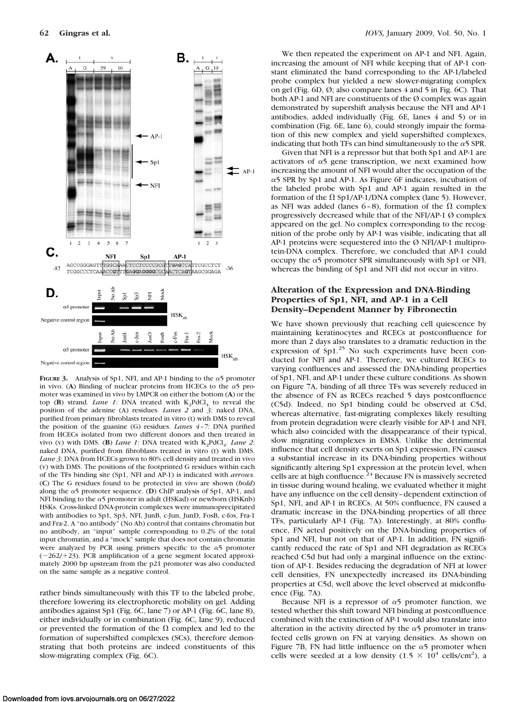

**FIGURE 3.** Analysis of Sp1, NFI, and AP-1 binding to the  $\alpha$ 5 promoter in vivo. (A) Binding of nuclear proteins from HCECs to the  $\alpha$ <sup>5</sup> promoter was examined in vivo by LMPCR on either the bottom (**A**) or the top (**B**) strand. *Lane 1*: DNA treated with  $K_2PdCl_4$  to reveal the position of the adenine (A) residues. *Lanes 2* and *3*: naked DNA, purified from primary fibroblasts treated in vitro (t) with DMS to reveal the position of the guanine (G) residues. *Lanes 4 –7*: DNA purified from HCECs isolated from two different donors and then treated in vivo (v) with DMS. (**B**) *Lane 1*: DNA treated with K<sub>2</sub>PdCl<sub>4</sub>. *Lane 2*: naked DNA, purified from fibroblasts treated in vitro (t) with DMS. *Lane 3*: DNA from HCECs grown to 80% cell density and treated in vivo (v) with DMS. The positions of the footprinted G residues within each of the TFs binding site (Sp1, NFI and AP-1) is indicated with *arrows*. (**C**) The G residues found to be protected in vivo are shown (*bold*) along the  $\alpha$ 5 promoter sequence. (**D**) ChIP analysis of Sp1, AP-1, and NFI binding to the  $\alpha$ 5 promoter in adult (HSKad) or newborn (HSKnb) HSKs. Cross-linked DNA-protein complexes were immunoprecipitated with antibodies to Sp1, Sp3, NFI, JunB, c-Jun, JunD, FosB, c-fos, Fra-1 and Fra-2. A "no antibody" (No Ab) control that contains chromatin but no antibody, an "input" sample corresponding to 0.2% of the total input chromatin, and a "mock" sample that does not contain chromatin were analyzed by PCR using primers specific to the  $\alpha$ 5 promoter  $(-262/+23)$ . PCR amplification of a gene segment located approximately 2000 bp upstream from the p21 promoter was also conducted on the same sample as a negative control.

rather binds simultaneously with this TF to the labeled probe, therefore lowering its electrophoretic mobility on gel. Adding antibodies against Sp1 (Fig. 6C, lane 7) or AP-1 (Fig. 6C, lane 8), either individually or in combination (Fig. 6C, lane 9), reduced or prevented the formation of the  $\Omega$  complex and led to the formation of supershifted complexes (SCs), therefore demonstrating that both proteins are indeed constituents of this slow-migrating complex (Fig. 6C).

We then repeated the experiment on AP-1 and NFI. Again, increasing the amount of NFI while keeping that of AP-1 constant eliminated the band corresponding to the AP-1/labeled probe complex but yielded a new slower-migrating complex on gel (Fig.  $6D$ ,  $\emptyset$ ; also compare lanes 4 and 5 in Fig.  $6C$ ). That both AP-1 and NFI are constituents of the  $\emptyset$  complex was again demonstrated by supershift analysis because the NFI and AP-1 antibodies, added individually (Fig. 6E, lanes 4 and 5) or in combination (Fig. 6E, lane 6), could strongly impair the formation of this new complex and yield supershifted complexes, indicating that both TFs can bind simultaneously to the  $\alpha$ 5 SPR.

Given that NFI is a repressor but that both Sp1 and AP-1 are activators of  $\alpha$ 5 gene transcription, we next examined how increasing the amount of NFI would alter the occupation of the  $\alpha$ 5 SPR by Sp1 and AP-1. As Figure 6F indicates, incubation of the labeled probe with Sp1 and AP-1 again resulted in the formation of the  $\Omega$  Sp1/AP-1/DNA complex (lane 5). However, as NFI was added (lanes  $6-8$ ), formation of the  $\Omega$  complex progressively decreased while that of the NFI/AP-1 Ø complex appeared on the gel. No complex corresponding to the recognition of the probe only by AP-1 was visible, indicating that all AP-1 proteins were sequestered into the Ø NFI/AP-1 multiprotein-DNA complex. Therefore, we concluded that AP-1 could occupy the  $\alpha$ 5 promoter SPR simultaneously with Sp1 or NFI, whereas the binding of Sp1 and NFI did not occur in vitro.

## **Alteration of the Expression and DNA-Binding Properties of Sp1, NFI, and AP-1 in a Cell Density–Dependent Manner by Fibronectin**

We have shown previously that reaching cell quiescence by maintaining keratinocytes and RCECs at postconfluence for more than 2 days also translates to a dramatic reduction in the expression of  $Sp1<sup>25</sup>$  No such experiments have been conducted for NFI and AP-1. Therefore, we cultured RCECs to varying confluences and assessed the DNA-binding properties of Sp1, NFI, and AP-1 under these culture conditions. As shown on Figure 7A, binding of all three TFs was severely reduced in the absence of FN as RCECs reached 5 days postconfluence (C5d). Indeed, no Sp1 binding could be observed at C5d, whereas alternative, fast-migrating complexes likely resulting from protein degradation were clearly visible for AP-1 and NFI, which also coincided with the disappearance of their typical, slow migrating complexes in EMSA. Unlike the detrimental influence that cell density exerts on Sp1 expression, FN causes a substantial increase in its DNA-binding properties without significantly altering Sp1 expression at the protein level, when cells are at high confluence.<sup>24</sup> Because FN is massively secreted in tissue during wound healing, we evaluated whether it might have any influence on the cell density– dependent extinction of Sp1, NFI, and AP-1 in RCECs. At 50% confluence, FN caused a dramatic increase in the DNA-binding properties of all three TFs, particularly AP-1 (Fig. 7A). Interestingly, at 80% confluence, FN acted positively on the DNA-binding properties of Sp1 and NFI, but not on that of AP-1. In addition, FN significantly reduced the rate of Sp1 and NFI degradation as RCECs reached C5d but had only a marginal influence on the extinction of AP-1. Besides reducing the degradation of NFI at lower cell densities, FN unexpectedly increased its DNA-binding properties at C5d, well above the level observed at midconfluence (Fig. 7A).

Because NFI is a repressor of  $\alpha$ 5 promoter function, we tested whether this shift toward NFI binding at postconfluence combined with the extinction of AP-1 would also translate into alteration in the activity directed by the  $\alpha$ 5 promoter in transfected cells grown on FN at varying densities. As shown on Figure 7B, FN had little influence on the  $\alpha$ 5 promoter when cells were seeded at a low density (1.5  $\times$  10<sup>4</sup> cells/cm<sup>2</sup>), a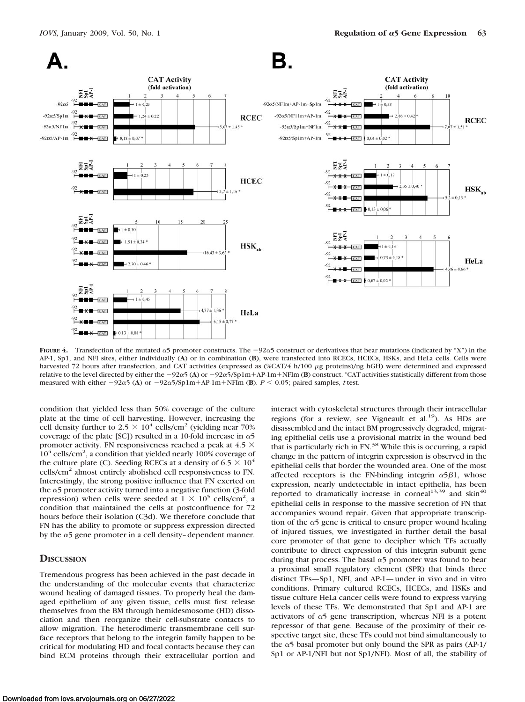

**FIGURE 4.** Transfection of the mutated  $\alpha$ 5 promoter constructs. The  $-92\alpha$ 5 construct or derivatives that bear mutations (indicated by "X") in the AP-1, Sp1, and NFI sites, either individually (**A**) or in combination (**B**), were transfected into RCECs, HCECs, HSKs, and HeLa cells. Cells were harvested 72 hours after transfection, and CAT activities (expressed as (%CAT/4 h/100 µg proteins)/ng hGH) were determined and expressed relative to the level directed by either the  $-92\alpha$ 5 (A) or  $-92\alpha$ 5/Sp1m+AP-1m+NFIm (B) construct. \*CAT activities statistically different from those measured with either  $-92\alpha$ 5 (A) or  $-92\alpha$ 5/Sp1m+AP-1m+NFIm (B).  $P < 0.05$ ; paired samples, *t*-test.

condition that yielded less than 50% coverage of the culture plate at the time of cell harvesting. However, increasing the cell density further to  $2.5 \times 10^4$  cells/cm<sup>2</sup> (yielding near 70%) coverage of the plate [SC]) resulted in a 10-fold increase in  $\alpha$ 5 promoter activity. FN responsiveness reached a peak at 4.5  $\times$  $10^4$  cells/cm<sup>2</sup>, a condition that yielded nearly 100% coverage of the culture plate (C). Seeding RCECs at a density of  $6.5 \times 10^4$ cells/cm2 almost entirely abolished cell responsiveness to FN. Interestingly, the strong positive influence that FN exerted on the  $\alpha$ 5 promoter activity turned into a negative function (3-fold repression) when cells were seeded at  $1 \times 10^5$  cells/cm<sup>2</sup>, a condition that maintained the cells at postconfluence for 72 hours before their isolation (C3d). We therefore conclude that FN has the ability to promote or suppress expression directed by the  $\alpha$ 5 gene promoter in a cell density-dependent manner.

## **DISCUSSION**

Tremendous progress has been achieved in the past decade in the understanding of the molecular events that characterize wound healing of damaged tissues. To properly heal the damaged epithelium of any given tissue, cells must first release themselves from the BM through hemidesmosome (HD) dissociation and then reorganize their cell-substrate contacts to allow migration. The heterodimeric transmembrane cell surface receptors that belong to the integrin family happen to be critical for modulating HD and focal contacts because they can bind ECM proteins through their extracellular portion and

interact with cytoskeletal structures through their intracellular regions (for a review, see Vigneault et al.<sup>19</sup>). As HDs are disassembled and the intact BM progressively degraded, migrating epithelial cells use a provisional matrix in the wound bed that is particularly rich in FN.<sup>38</sup> While this is occurring, a rapid change in the pattern of integrin expression is observed in the epithelial cells that border the wounded area. One of the most affected receptors is the FN-binding integrin  $\alpha$ 5 $\beta$ 1, whose expression, nearly undetectable in intact epithelia, has been reported to dramatically increase in corneal<sup>13,39</sup> and skin<sup>40</sup> epithelial cells in response to the massive secretion of FN that accompanies wound repair. Given that appropriate transcription of the  $\alpha$ 5 gene is critical to ensure proper wound healing of injured tissues, we investigated in further detail the basal core promoter of that gene to decipher which TFs actually contribute to direct expression of this integrin subunit gene during that process. The basal  $\alpha$ 5 promoter was found to bear a proximal small regulatory element (SPR) that binds three distinct TFs—Sp1, NFI, and AP-1— under in vivo and in vitro conditions. Primary cultured RCECs, HCECs, and HSKs and tissue culture HeLa cancer cells were found to express varying levels of these TFs. We demonstrated that Sp1 and AP-1 are activators of  $\alpha$ 5 gene transcription, whereas NFI is a potent repressor of that gene. Because of the proximity of their respective target site, these TFs could not bind simultaneously to the  $\alpha$ 5 basal promoter but only bound the SPR as pairs (AP-1/ Sp1 or AP-1/NFI but not Sp1/NFI). Most of all, the stability of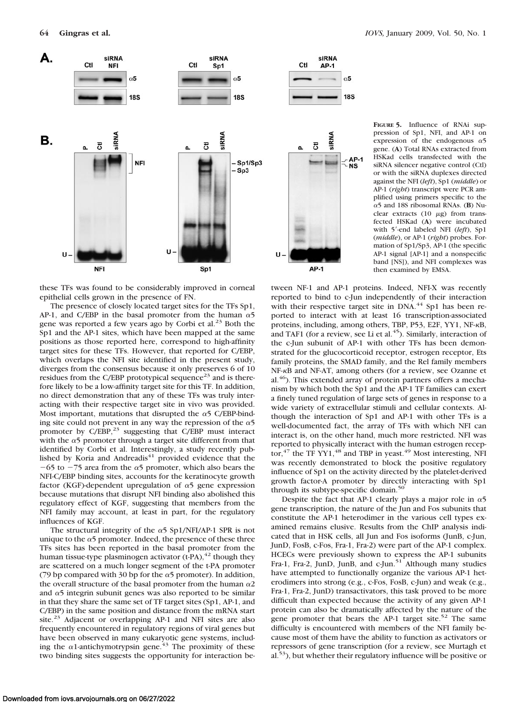

these TFs was found to be considerably improved in corneal epithelial cells grown in the presence of FN.

The presence of closely located target sites for the TFs Sp1, AP-1, and C/EBP in the basal promoter from the human  $\alpha$ 5 gene was reported a few years ago by Corbi et al.<sup>23</sup> Both the Sp1 and the AP-1 sites, which have been mapped at the same positions as those reported here, correspond to high-affinity target sites for these TFs. However, that reported for C/EBP, which overlaps the NFI site identified in the present study, diverges from the consensus because it only preserves 6 of 10 residues from the C/EBP prototypical sequence<sup>23</sup> and is therefore likely to be a low-affinity target site for this TF. In addition, no direct demonstration that any of these TFs was truly interacting with their respective target site in vivo was provided. Most important, mutations that disrupted the  $\alpha$ 5 C/EBP-binding site could not prevent in any way the repression of the  $\alpha$ 5 promoter by C/EBP,<sup>23</sup> suggesting that C/EBP must interact with the  $\alpha$ 5 promoter through a target site different from that identified by Corbi et al. Interestingly, a study recently published by Koria and Andreadis<sup>41</sup> provided evidence that the  $-65$  to  $-75$  area from the  $\alpha$ 5 promoter, which also bears the NFI-C/EBP binding sites, accounts for the keratinocyte growth factor (KGF)-dependent upregulation of  $\alpha$ 5 gene expression because mutations that disrupt NFI binding also abolished this regulatory effect of KGF, suggesting that members from the NFI family may account, at least in part, for the regulatory influences of KGF.

The structural integrity of the  $\alpha$ 5 Sp1/NFI/AP-1 SPR is not unique to the  $\alpha$ 5 promoter. Indeed, the presence of these three TFs sites has been reported in the basal promoter from the human tissue-type plasminogen activator  $(t-PA)$ ,<sup>42</sup> though they are scattered on a much longer segment of the t-PA promoter (79 bp compared with 30 bp for the  $\alpha$ 5 promoter). In addition, the overall structure of the basal promoter from the human  $\alpha$ 2 and  $\alpha$ 5 integrin subunit genes was also reported to be similar in that they share the same set of TF target sites (Sp1, AP-1, and C/EBP) in the same position and distance from the mRNA start site.<sup>23</sup> Adjacent or overlapping AP-1 and NFI sites are also frequently encountered in regulatory regions of viral genes but have been observed in many eukaryotic gene systems, including the  $\alpha$ 1-antichymotrypsin gene.<sup>43</sup> The proximity of these two binding sites suggests the opportunity for interaction be-

**FIGURE 5.** Influence of RNAi suppression of Sp1, NFI, and AP-1 on expression of the endogenous  $\alpha$ 5 gene. (**A**) Total RNAs extracted from HSKad cells transfected with the siRNA silencer negative control (Ctl) or with the siRNA duplexes directed against the NFI (*left*), Sp1 (*middle*) or AP-1 (*right*) transcript were PCR amplified using primers specific to the 5 and 18S ribosomal RNAs. (**B**) Nuclear extracts  $(10 \mu g)$  from transfected HSKad (**A**) were incubated with 5'-end labeled NFI (left), Sp1 (*middle*), or AP-1 (*right*) probes. Formation of Sp1/Sp3, AP-1 (the specific AP-1 signal [AP-1] and a nonspecific band [NS]), and NFI complexes was then examined by EMSA.

tween NF-1 and AP-1 proteins. Indeed, NFI-X was recently reported to bind to c-Jun independently of their interaction with their respective target site in DNA.<sup>44</sup> Sp1 has been reported to interact with at least 16 transcription-associated proteins, including, among others, TBP, P53, E2F, YY1, NF- $\kappa$ B, and TAF1 (for a review, see Li et al. $45$ ). Similarly, interaction of the c-Jun subunit of AP-1 with other TFs has been demonstrated for the glucocorticoid receptor, estrogen receptor, Ets family proteins, the SMAD family, and the Rel family members NF-KB and NF-AT, among others (for a review, see Ozanne et al.46). This extended array of protein partners offers a mechanism by which both the Sp1 and the AP-1 TF families can exert a finely tuned regulation of large sets of genes in response to a wide variety of extracellular stimuli and cellular contexts. Although the interaction of Sp1 and AP-1 with other TFs is a well-documented fact, the array of TFs with which NFI can interact is, on the other hand, much more restricted. NFI was reported to physically interact with the human estrogen receptor, $47$  the TF YY1, $48$  and TBP in yeast. $49$  Most interesting, NFI was recently demonstrated to block the positive regulatory influence of Sp1 on the activity directed by the platelet-derived growth factor-A promoter by directly interacting with Sp1 through its subtype-specific domain.<sup>50</sup>

Despite the fact that AP-1 clearly plays a major role in  $\alpha$ 5 gene transcription, the nature of the Jun and Fos subunits that constitute the AP-1 heterodimer in the various cell types examined remains elusive. Results from the ChIP analysis indicated that in HSK cells, all Jun and Fos isoforms (JunB, c-Jun, JunD, FosB, c-Fos, Fra-1, Fra-2) were part of the AP-1 complex. HCECs were previously shown to express the AP-1 subunits Fra-1, Fra-2, JunD, JunB, and c-Jun.<sup>51</sup> Although many studies have attempted to functionally organize the various AP-1 heterodimers into strong (e.g., c-Fos, FosB, c-Jun) and weak (e.g., Fra-1, Fra-2, JunD) transactivators, this task proved to be more difficult than expected because the activity of any given AP-1 protein can also be dramatically affected by the nature of the gene promoter that bears the AP-1 target site.<sup>52</sup> The same difficulty is encountered with members of the NFI family because most of them have the ability to function as activators or repressors of gene transcription (for a review, see Murtagh et al.53), but whether their regulatory influence will be positive or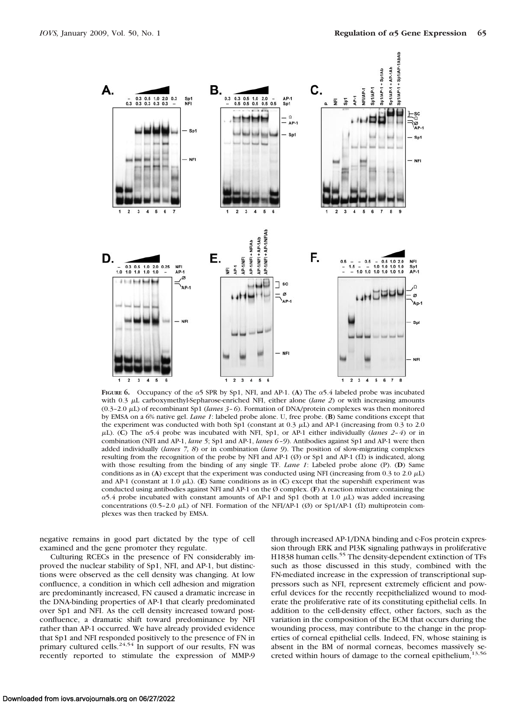

**FIGURE 6.** Occupancy of the  $\alpha$ 5 SPR by Sp1, NFI, and AP-1. (A) The  $\alpha$ 5.4 labeled probe was incubated with 0.3  $\mu$ L carboxymethyl-Sepharose-enriched NFI, either alone *(lane 2)* or with increasing amounts (0.3–2.0 L) of recombinant Sp1 (*lanes 3– 6*). Formation of DNA/protein complexes was then monitored by EMSA on a 6% native gel. *Lane 1*: labeled probe alone. U, free probe. (**B**) Same conditions except that the experiment was conducted with both Sp1 (constant at  $0.3 \mu L$ ) and AP-1 (increasing from  $0.3$  to 2.0  $\mu$ L). (C) The  $\alpha$ 5.4 probe was incubated with NFI, Sp1, or AP-1 either individually (*lanes 2-4*) or in combination (NFI and AP-1, *lane 5*; Sp1 and AP-1, *lanes 6 –9*). Antibodies against Sp1 and AP-1 were then added individually (*lanes 7, 8*) or in combination (*lane 9*). The position of slow-migrating complexes resulting from the recognition of the probe by NFI and AP-1  $(\emptyset)$  or Sp1 and AP-1  $(\Omega)$  is indicated, along with those resulting from the binding of any single TF. *Lane 1*: Labeled probe alone (P). (**D**) Same conditions as in (A) except that the experiment was conducted using NFI (increasing from  $0.3$  to  $2.0 \mu L$ ) and AP-1 (constant at  $1.0 \mu L$ ). (**E**) Same conditions as in (**C**) except that the supershift experiment was conducted using antibodies against NFI and AP-1 on the Ø complex. (**F**) A reaction mixture containing the  $\alpha$ 5.4 probe incubated with constant amounts of AP-1 and Sp1 (both at 1.0  $\mu$ L) was added increasing concentrations (0.5–2.0  $\mu$ L) of NFI. Formation of the NFI/AP-1 (Ø) or Sp1/AP-1 ( $\Omega$ ) multiprotein complexes was then tracked by EMSA.

negative remains in good part dictated by the type of cell examined and the gene promoter they regulate.

Culturing RCECs in the presence of FN considerably improved the nuclear stability of Sp1, NFI, and AP-1, but distinctions were observed as the cell density was changing. At low confluence, a condition in which cell adhesion and migration are predominantly increased, FN caused a dramatic increase in the DNA-binding properties of AP-1 that clearly predominated over Sp1 and NFI. As the cell density increased toward postconfluence, a dramatic shift toward predominance by NFI rather than AP-1 occurred. We have already provided evidence that Sp1 and NFI responded positively to the presence of FN in primary cultured cells.<sup>24,54</sup> In support of our results, FN was recently reported to stimulate the expression of MMP-9 through increased AP-1/DNA binding and c-Fos protein expression through ERK and PI3K signaling pathways in proliferative H1838 human cells.<sup>55</sup> The density-dependent extinction of TFs such as those discussed in this study, combined with the FN-mediated increase in the expression of transcriptional suppressors such as NFI, represent extremely efficient and powerful devices for the recently reepithelialized wound to moderate the proliferative rate of its constituting epithelial cells. In addition to the cell-density effect, other factors, such as the variation in the composition of the ECM that occurs during the wounding process, may contribute to the change in the properties of corneal epithelial cells. Indeed, FN, whose staining is absent in the BM of normal corneas, becomes massively secreted within hours of damage to the corneal epithelium,<sup>13,56</sup>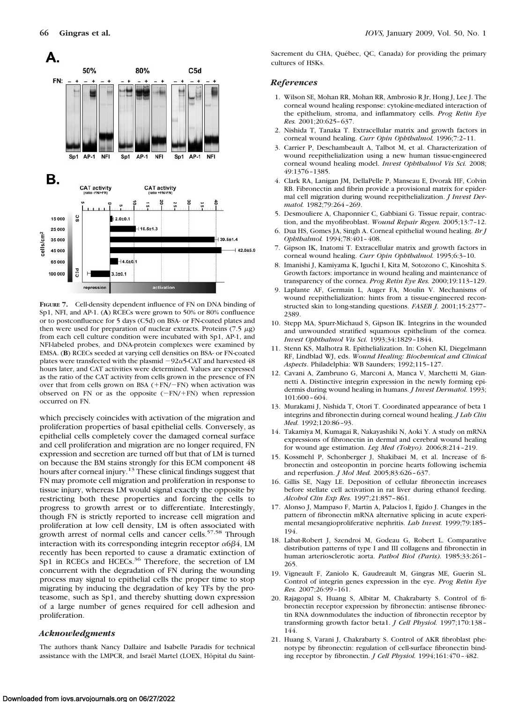

**FIGURE 7.** Cell-density dependent influence of FN on DNA binding of Sp1, NFI, and AP-1. (**A**) RCECs were grown to 50% or 80% confluence or to postconfluence for 5 days (C5d) on BSA- or FN-coated plates and then were used for preparation of nuclear extracts. Proteins  $(7.5 \mu g)$ from each cell culture condition were incubated with Sp1, AP-1, and NFI-labeled probes, and DNA-protein complexes were examined by EMSA. (**B**) RCECs seeded at varying cell densities on BSA- or FN-coated plates were transfected with the plasmid  $-92\alpha$ 5-CAT and harvested 48 hours later, and CAT activities were determined. Values are expressed as the ratio of the CAT activity from cells grown in the presence of FN over that from cells grown on BSA  $(+FN/-FN)$  when activation was observed on FN or as the opposite  $(-FN/+FN)$  when repression occurred on FN.

which precisely coincides with activation of the migration and proliferation properties of basal epithelial cells. Conversely, as epithelial cells completely cover the damaged corneal surface and cell proliferation and migration are no longer required, FN expression and secretion are turned off but that of LM is turned on because the BM stains strongly for this ECM component 48 hours after corneal injury.13 These clinical findings suggest that FN may promote cell migration and proliferation in response to tissue injury, whereas LM would signal exactly the opposite by restricting both these properties and forcing the cells to progress to growth arrest or to differentiate. Interestingly, though FN is strictly reported to increase cell migration and proliferation at low cell density, LM is often associated with growth arrest of normal cells and cancer cells.<sup>57,58</sup> Through interaction with its corresponding integrin receptor  $\alpha$ 6 $\beta$ 4, LM recently has been reported to cause a dramatic extinction of Sp1 in RCECs and HCECs.<sup>36</sup> Therefore, the secretion of LM concurrent with the degradation of FN during the wounding process may signal to epithelial cells the proper time to stop migrating by inducing the degradation of key TFs by the proteasome, such as Sp1, and thereby shutting down expression of a large number of genes required for cell adhesion and proliferation.

#### *Acknowledgments*

The authors thank Nancy Dallaire and Isabelle Paradis for technical assistance with the LMPCR, and Israël Martel (LOEX, Hôpital du SaintSacrement du CHA, Québec, QC, Canada) for providing the primary cultures of HSKs.

#### *References*

- 1. Wilson SE, Mohan RR, Mohan RR, Ambrosio R Jr, Hong J, Lee J. The corneal wound healing response: cytokine-mediated interaction of the epithelium, stroma, and inflammatory cells. *Prog Retin Eye Res.* 2001;20:625– 637.
- 2. Nishida T, Tanaka T. Extracellular matrix and growth factors in corneal wound healing. *Curr Opin Ophthalmol.* 1996;7:2–11.
- 3. Carrier P, Deschambeault A, Talbot M, et al. Characterization of wound reepithelialization using a new human tissue-engineered corneal wound healing model. *Invest Ophthalmol Vis Sci.* 2008; 49:1376 –1385.
- 4. Clark RA, Lanigan JM, DellaPelle P, Manseau E, Dvorak HF, Colvin RB. Fibronectin and fibrin provide a provisional matrix for epidermal cell migration during wound reepithelialization. *J Invest Dermatol.* 1982;79:264 –269.
- 5. Desmouliere A, Chaponnier C, Gabbiani G. Tissue repair, contraction, and the myofibroblast. *Wound Repair Regen.* 2005;13:7–12.
- 6. Dua HS, Gomes JA, Singh A. Corneal epithelial wound healing. *Br J Ophthalmol.* 1994;78:401– 408.
- 7. Gipson IK, Inatomi T. Extracellular matrix and growth factors in corneal wound healing. *Curr Opin Ophthalmol.* 1995;6:3–10.
- 8. Imanishi J, Kamiyama K, Iguchi I, Kita M, Sotozono C, Kinoshita S. Growth factors: importance in wound healing and maintenance of transparency of the cornea. *Prog Retin Eye Res.* 2000;19:113–129.
- 9. Laplante AF, Germain L, Auger FA, Moulin V. Mechanisms of wound reepithelialization: hints from a tissue-engineered reconstructed skin to long-standing questions. *FASEB J.* 2001;15:2377– 2389.
- 10. Stepp MA, Spurr-Michaud S, Gipson IK. Integrins in the wounded and unwounded stratified squamous epithelium of the cornea. *Invest Ophthalmol Vis Sci.* 1993;34:1829 –1844.
- 11. Stenn KS, Malhotra R. Epithelialization. In: Cohen KI, Diegelmann RF, Lindblad WJ, eds. *Wound Healing: Biochemical and Clinical Aspects*. Philadelphia: WB Saunders; 1992;115–127.
- 12. Cavani A, Zambruno G, Marconi A, Manca V, Marchetti M, Giannetti A. Distinctive integrin expression in the newly forming epidermis during wound healing in humans. *J Invest Dermatol.* 1993; 101:600 – 604.
- 13. Murakami J, Nishida T, Otori T. Coordinated appearance of beta 1 integrins and fibronectin during corneal wound healing. *J Lab Clin Med.* 1992;120:86 –93.
- 14. Takamiya M, Kumagai R, Nakayashiki N, Aoki Y. A study on mRNA expressions of fibronectin in dermal and cerebral wound healing for wound age estimation. *Leg Med (Tokyo).* 2006;8:214 –219.
- 15. Kossmehl P, Schonberger J, Shakibaei M, et al. Increase of fibronectin and osteopontin in porcine hearts following ischemia and reperfusion. *J Mol Med.* 2005;83:626 – 637.
- 16. Gillis SE, Nagy LE. Deposition of cellular fibronectin increases before stellate cell activation in rat liver during ethanol feeding. *Alcohol Clin Exp Res.* 1997;21:857– 861.
- 17. Alonso J, Mampaso F, Martin A, Palacios I, Egido J. Changes in the pattern of fibronectin mRNA alternative splicing in acute experimental mesangioproliferative nephritis. *Lab Invest.* 1999;79:185– 194.
- 18. Labat-Robert J, Szendroi M, Godeau G, Robert L. Comparative distribution patterns of type I and III collagens and fibronectin in human arteriosclerotic aorta. *Pathol Biol (Paris).* 1985;33:261– 265.
- 19. Vigneault F, Zaniolo K, Gaudreault M, Gingras ME, Guerin SL. Control of integrin genes expression in the eye. *Prog Retin Eye Res.* 2007;26:99 –161.
- 20. Rajagopal S, Huang S, Albitar M, Chakrabarty S. Control of fibronectin receptor expression by fibronectin: antisense fibronectin RNA downmodulates the induction of fibronectin receptor by transforming growth factor beta1. *J Cell Physiol.* 1997;170:138 – 144.
- 21. Huang S, Varani J, Chakrabarty S. Control of AKR fibroblast phenotype by fibronectin: regulation of cell-surface fibronectin binding receptor by fibronectin. *J Cell Physiol.* 1994;161:470 – 482.